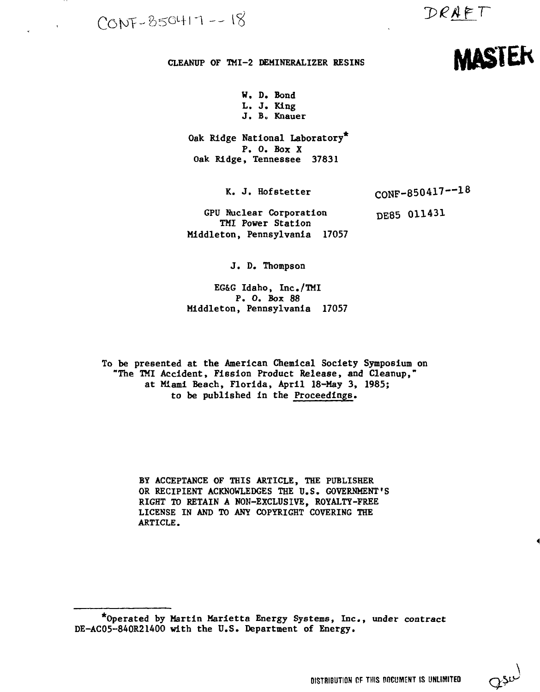$CONF-850417--18$ 

DRAFT

**MASTER** 

# **CLEANUP OF TMI-2 DEMINERALIZER RESINS**

**W. D. Bond L. J. King J. B,, Knauer**

**Oak Ridge National Laboratory\* P. 0. Box X Oak Ridge, Tennessee 37831**

K. J. Hofstetter  $\text{conv-850417--18}$ 

GPU Nuclear Corporation DE85 011431 TMI Power Station Middleton, Pennsylvania 17057

J. D. Thompson

**EG&G Idaho, Inc./TMI P. O. Box 88 Middleton, Pennsylvania 17057**

**To be presented at the American Chemical Society Symposium on "The TMI Accident, Fission Product Release, and Cleanup," at Miami Beach, Florida, April 18-May 3, 1985; to be published in the Proceedings»**

> **BY ACCEPTANCE OF THIS ARTICLE, THE PUBLISHER OR RECIPIENT ACKNOWLEDGES THE U.S. GOVERNMENT'S RIGHT TO RETAIN A NON-EXCLUSIVE, ROYALTY-FREE LICENSE IN AND TO ANY COPYRIGHT COVERING THE ARTICLE.**

 $Q^{3\mu}$ 

**<sup>\*0</sup>perated by Martin Marietta Energy Systems, Inc., under contract DE-AC05-840R21400 with the U.S. Department of Energy.**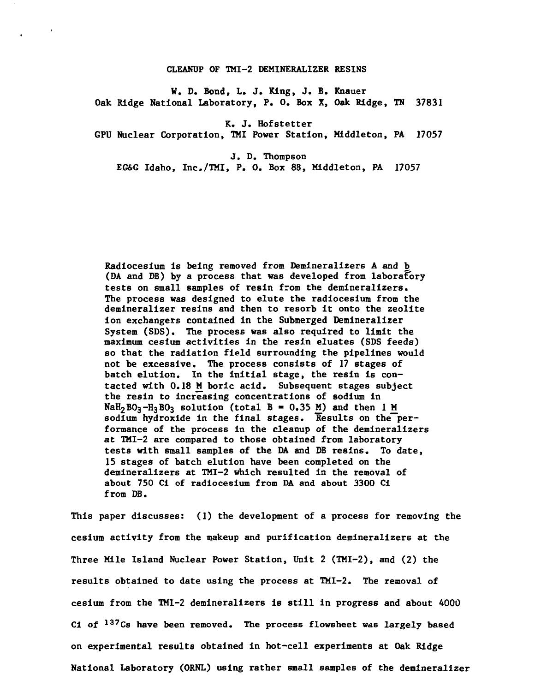#### **CLEANUP OF TMI-2 DEMINERAL1ZER RESINS**

**W. D. Bond, L. J. King, J. B. Knauer Oak Ridge National Laboratory, P. 0. Box X, Oak Ridge, TN 37831**

**K. J. Hofstetter**

**GPU Nuclear Corporation, TMI Power Station, Mlddleton, PA 17057**

**J. D. Thompson**

**EG&G Idaho, Inc./TMI, P. 0. Box 88, Mlddleton, PA 17057**

**Radioceslum Is being removed from Demineralizers A and b (DA and DB) by a process that was developed from laboratory tests on small samples of resin from the demlnerallzers. The process was designed to elute the radioceslum from the demlnerallzer resins and then to resorb it onto the zeolite ion exchangers contained in the Submerged Demineralizer System (SDS). The process was also required to limit the maximum cesium activities in the resin eluates (SOS feeds) so that the radiation field surrounding the pipelines would not be excessive. The process consists of 17 stages of batch elution. In the initial stage, the resin is con**tacted with 0.18 M boric acid. Subsequent stages subject **the resin to increasing concentrations of sodium in**  $NaH_2BO_3 - H_3BO_3$  solution (total  $B = 0.35$  M) and then 1 M sodium hydroxide in the final stages. Results on the per**formance of the process in the cleanup of the demineralizers at TMI-2 are compared to those obtained from laboratory tests with small samples of the DA and DB resins. To date, 15 stages of batch elution have been completed on the demineralizers at TMI-2 which resulted in the removal of about 750 Ci of radiocesium from DA and about 3300 Ci from DB.**

**This paper discusses: (1) the development of a process for removing the cesium activity from the makeup and purification demineralizers at the Three Mile Island Nuclear Power Station, Unit 2 (TMI-2), and (2) the results obtained to date using the process at TMI-2. The removal of cesium from the TMI-2 demineralizers is still in progress and about 4000** Ci of <sup>137</sup>Cs have been removed. The process flowsheet was largely based **on experimental results obtained in hot-cell experiments at Oak Ridge National Laboratory (ORNL) using rather small samples of the demineralizer**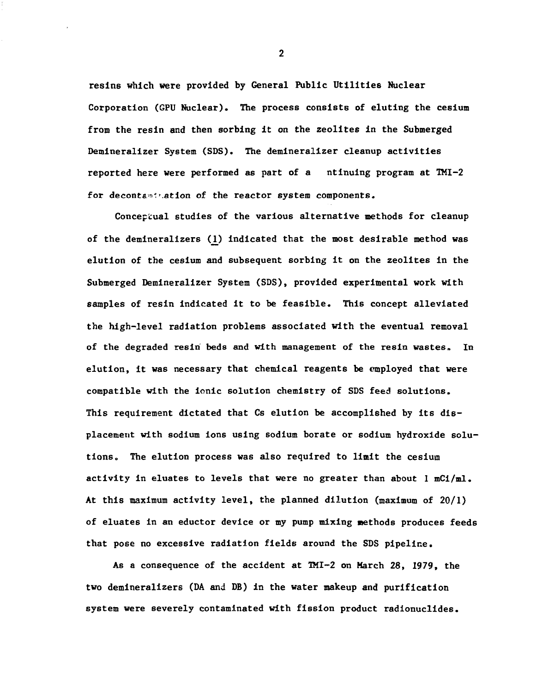**resins which were provided by General Public Utilities Nuclear Corporation (GPU Nuclear). The process consists of eluting the cesium from the resin and then sorbing it on the zeolites in the Submerged Demineralizer System (SDS). The demineralizer cleanup activities reported here were performed as part of a ntinuing program at TMI-2** for decontant ation of the reactor system components.

Conceptual studies of the various alternative methods for cleanup **of the demineralizers CO indicated that the most desirable method was elution of the cesium and subsequent sorbing it on the zeolites in the Submerged Demineralizer System (SDS), provided experimental work with samples of resin indicated it to be feasible. This concept alleviated the high-level radiation problems associated with the eventual removal of the degraded resin beds and with management of the resin wastes. In elution, it was necessary that chemical reagents be employed that were compatible with the ionic solution chemistry of SDS feed solutions. This requirement dictated that Cs elution be accomplished by its displacement with sodium ions using sodium borate or sodium hydroxide solutions. The elution process was also required to limit the cesium activity in eluates to levels that were no greater than about 1 mCi/ml. At this maximum activity level, the planned dilution (maximum of 20/1) of eluates in an eductor device or my pump mixing methods produces feeds that pose no excessive radiation fields around the SDS pipeline.**

**As a consequence of the accident at TMI-2 on March 28, 1979, the two demineralizers (DA and DB) in the water makeup and purification system were severely contaminated with fission product radlonuclides.**

 $\overline{2}$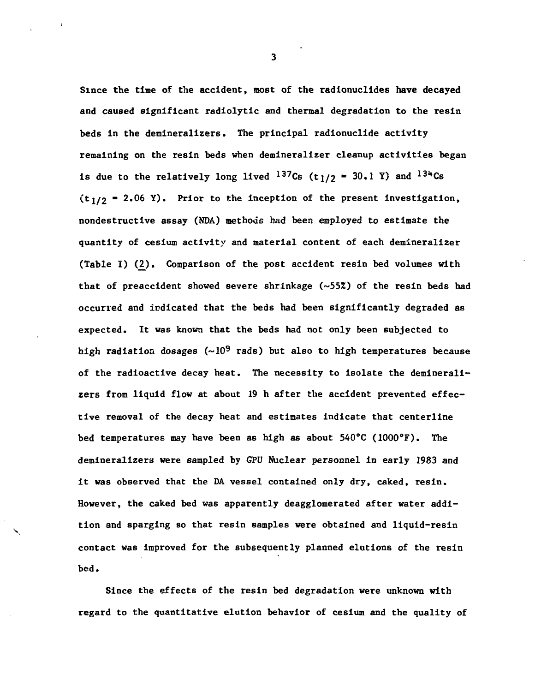**Since the tine of the accident, most of the radlonuclides have decayed and caused significant radiolytic and thermal degradation to the resin beds in the demineralizers. The principal radionuclide activity remaining on the resin beds when deminerallzer cleanup activities began** is due to the relatively long lived  $^{137}$ Cs (t<sub>1</sub>/2 = 30.1 Y) and  $^{134}$ Cs **(tj/2 " 2.06 Y). Prior to the inception of the present investigation, nondestructive assay (NDA) methods had been employed to estimate the quantity of cesium activity and material content of each deminerallzer (Table I) (2). Comparison of the post accident resin bed volumes with that of preaccident showed severe shrinkage (~55%) of the resin beds had occurred and indicated that the beds had been significantly degraded as expected. It was known that the beds had not only been subjected to high radiation dosages (~10<sup>9</sup> rads) but also to high temperatures because of the radioactive decay heat. The necessity to isolate the deminerallzers from liquid flow at about 19 h after the accident prevented effective removal of the decay heat and estimates indicate that centerline bed temperatures may have been as high as about 540°C (1000°F). The demineralizers were sampled by GPU Nuclear personnel in early 1983 and it was observed that the DA vessel contained only dry, caked, resin. However, the caked bed was apparently deagglomerated after water addition and sparging so that resin samples were obtained and liquid-resin contact was improved for the subsequently planned elutions of the resin bed.**

**Since the effects of the resin bed degradation were unknown with regard to the quantitative elution behavior of cesium and the quality of**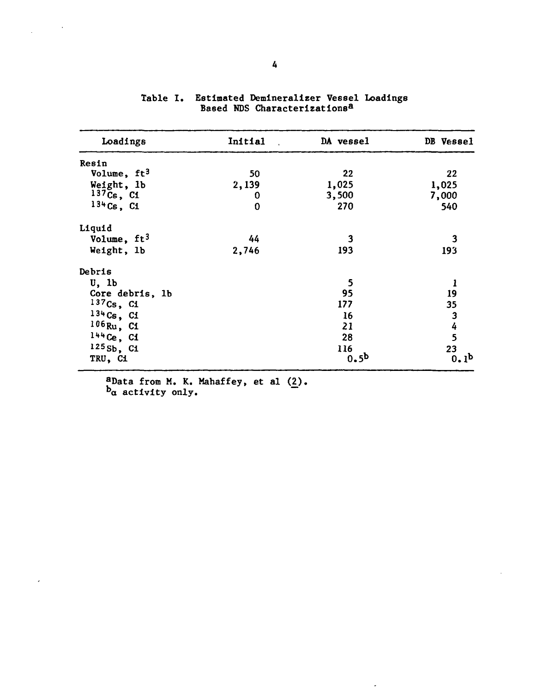| Loadings                | Initial<br>$\mathbb{R}^2$ | DA vessel        | DB Vessel                                  |
|-------------------------|---------------------------|------------------|--------------------------------------------|
| Resin                   |                           |                  |                                            |
| Volume, ft <sup>3</sup> | 50                        | 22               | 22                                         |
| Weight, lb              | 2,139                     | 1,025            | 1,025                                      |
| $137C6$ , C1            | 0                         | 3,500            | 7,000                                      |
| $134Cs$ , C1            | $\mathbf 0$               | 270              | 540                                        |
| Liquid                  |                           |                  |                                            |
| Volume, $ft^3$          | 44                        | 3                | 3                                          |
| Weight, 1b              | 2,746                     | 193              | 193                                        |
| Debris                  |                           |                  |                                            |
| U, 1b                   |                           | 5                | 1                                          |
| Core debris, 1b         |                           | 95               | 19                                         |
| $137Cs$ , Ci            |                           | 177              | 35                                         |
| $134Cs$ , Ci            |                           | 16               |                                            |
| $106Ru$ , C1            |                           | 21               | $\begin{array}{c} 3 \\ 4 \\ 5 \end{array}$ |
| $144$ Ce, C1            |                           | 28               |                                            |
| $125Sb$ , C1            |                           | 116              | 23                                         |
| TRU, Ci                 |                           | 0.5 <sup>b</sup> | 0.1 <sup>b</sup>                           |

 $\overline{a}$ 

### Table I. **Estimated Demineralizer Vessel Loadings Based NDS Characterizations<sup>8</sup>**

**<sup>a</sup>Data from M. K. Mahaffey, et al (2\_), <sup>b</sup>a activity only.**

 $\sim 10^{11}$  km

 $\overline{a}$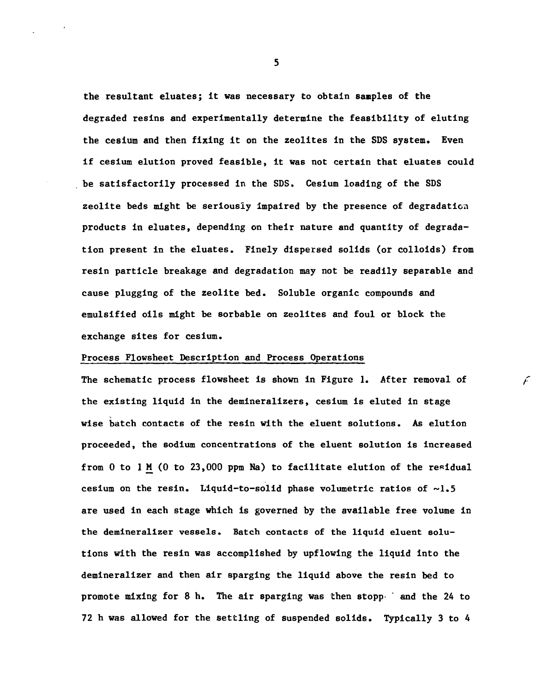**the resultant eluates; it was necessary to obtain samples of the degraded resins and experimentally determine the feasibility of eluting the cesium and then fixing it on the zeolites in the SDS system. Even if cesium elution proved feasible, It was not certain that eluates could be satisfactorily processed in the SDS. Cesium loading of the SDS zeolite beds might be seriously impaired by the presence of degradation products in eluates, depending on their nature and quantity of degradation present in the eluates. Finely dispersed solids (or colloids) from resin particle breakage and degradation may not be readily separable and cause plugging of the zeolite bed. Soluble organic compounds and emulsified oils might be sorbable on zeolites and foul or block the exchange sites for cesium.**

### **Process Flowsheet Description and Process Operations**

**The schematic process flowsheet is shown in Figure 1. After removal of the existing liquid in the demineralizers, cesium is eluted in stage wise batch contacts of the resin with the eluent solutions. As elution proceeded, the sodium concentrations of the eluent solution is increased from 0 to 1 M (0 to 23,000 ppm Na) to facilitate elution of the residual cesium on the resin. Liquid-to-solid phase volumetric ratios of ~1.5 are used in each stage which is governed by the available free volume in the demineralizer vessels. Batch contacts of the liquid eluent solutions with the resin was accomplished by upflowing the liquid into the demineralizer and then air sparging the liquid above the resin bed to promote mixing for 8 h. The air sparging was then stopp- ' and the 24 to 72 h was allowed for the settling of suspended solids. Typically 3 to 4**

F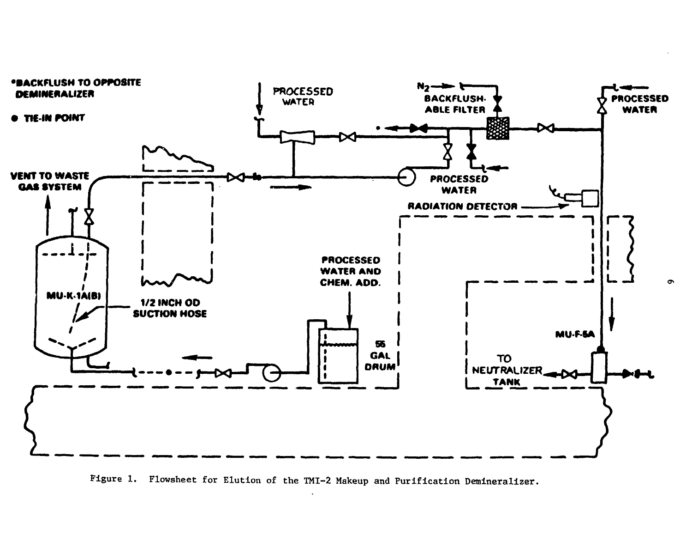

Figure 1. Flowsheet for Elution of the TMI-2 Makeup and Purification Demineralizer.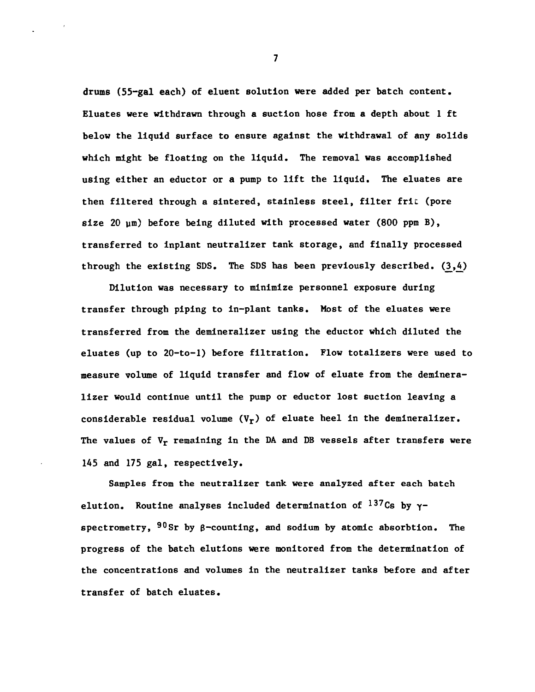**drums (55-gal each) of eluent solution were added per batch content. Eluates were withdrawn through a suction hose from a depth about 1 ft below the liquid surface to ensure against the withdrawal of any solids which might be floating on the liquid. The removal was accomplished using either an eductor or a pump to lift the liquid. The eluates are then filtered through a sintered, stainless steel, filter frit (pore** size 20  $\mu$ m) before being diluted with processed water (800 ppm B), **transferred to inplant neutralizer tank storage, and finally processed** through the existing SDS. The SDS has been previously described.  $(3,4)$ 

**Dilution was necessary to minimize personnel exposure during transfer through piping to in-plant tanks. Most of the eluates were transferred from the deminerallzer using the eductor which diluted the eluates (up to 20-to-l) before filtration. Flow totalizers were used to measure volume of liquid transfer and flow of eluate from the demineralizer would continue until the pump or eductor lost suction leaving a considerable residual volume (Vr) of eluate heel in the demineralizer. The values of Vr remaining in the DA and DB vessels after transfers were 145 and 175 gal, respectively.**

**Samples from the neutralizer tank were analyzed after each batch elution. Routine analyses included determination of <sup>137</sup>Cs by yspectrometry, 90gr by g—counting, and sodium by atomic absorbtion. The progress of the batch elutions were monitored from the determination of the concentrations and volumes in the neutralizer tanks before and after transfer of batch eluates.**

 $\overline{7}$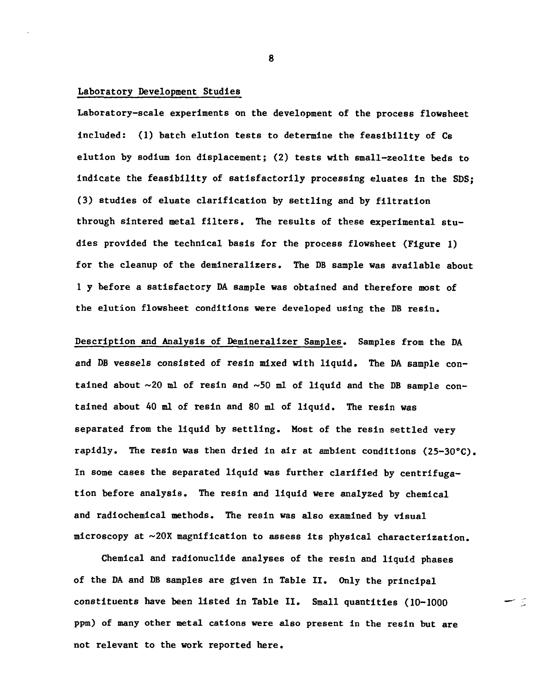#### **Laboratory Development Studies**

**Laboratory-scale experiments on the development of the process flowsheet Included: (1) batch elutlon tests to determine the feasibility of Cs elution by sodium ion displacement; (2) tests with small-zeolite beds to indicate the feasibility of satisfactorily processing eluates in the SDS; (3) studies of eluate clarification by settling and by filtration through sintered metal filters. The results of these experimental studies provided the technical basis for the process flowsheet (Figure 1) for the cleanup of the demineralizers. The DB sample was available about 1 y before a satisfactory DA sample was obtained and therefore most of the elution flowsheet conditions were developed using the DB resin.**

**Description and Analysis of Demineralizer Samples. Samples from the DA and DB vessels consisted of resin mixed with liquid. The DA sample contained about ~20 ml of resin and ~50 ml of liquid and the DB sample contained about 40 ml of resin and 80 ml of liquid. The resin was separated from the liquid by settling. Most of the resin settled very rapidly. The resin was then dried in air at ambient conditions (25-30°C). In some cases the separated liquid was further clarified by centrifugation before analysis. The resin and liquid were analyzed by chemical and radiochemical methods. The resin was also examined by visual microscopy at ~20X magnification to assess its physical characterization.**

**Chemical and radionuclide analyses of the resin and liquid phases of the DA and DB samples are given in Table II. Only the principal constituents have been listed in Table II. Small quantities (10-1000 ppm) of many other metal cations were also present in the resin but are not relevant to the work reported here.**

ی س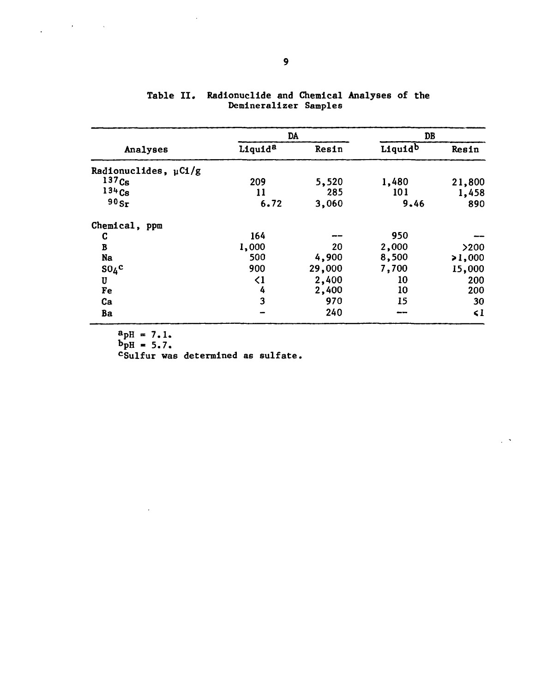|                           | DA                  |               | DB                  |          |  |
|---------------------------|---------------------|---------------|---------------------|----------|--|
| Analyses                  | Liquid <sup>8</sup> | Resin         | Liquid <sup>b</sup> | Resin    |  |
| Radionuclides, $\mu$ Ci/g |                     |               |                     |          |  |
| 137C <sub>S</sub>         | 209                 | 5,520         | 1,480               | 21,800   |  |
| 134Cs                     | 11                  | 285           | 101                 | 1,458    |  |
| $90S_{\Gamma}$            | 6.72                | 9.46<br>3,060 |                     | 890      |  |
| Chemical, ppm             |                     |               |                     |          |  |
| C                         | 164                 |               | 950                 |          |  |
| B                         | 1,000               | 20            | 2,000               | >200     |  |
| Na                        | 500                 | 4,900         | 8,500               | >1,000   |  |
| $SO_4$ <sup>c</sup>       | 900                 | 29,000        | 7,700               | 15,000   |  |
| U                         | $\langle 1$         | 2,400         | 10                  | 200      |  |
| Fe                        | 4                   | 2,400         | 10                  | 200      |  |
| Ca                        | 3                   | 970           | 15                  | 30       |  |
| Ba                        |                     | 240           |                     | $\leq$ 1 |  |

 $\mathbb{Z}^{d-1}$ 

Table II. Radionuclide and Chemical Analyses of the Demineralizer Samples

 $a_{\text{pH}} = 7.1.$ 

 $\mathcal{L}$ 

 $P_{\rm pH} = 5.7.$ 

 $\label{eq:2.1} \frac{1}{2} \int_{\mathbb{R}^3} \left| \frac{d\mathbf{x}}{d\mathbf{x}} \right|^2 \, d\mathbf{x} \, d\mathbf{x} \, d\mathbf{x} \, d\mathbf{x} \, d\mathbf{x} \, d\mathbf{x} \, d\mathbf{x} \, d\mathbf{x} \, d\mathbf{x} \, d\mathbf{x} \, d\mathbf{x} \, d\mathbf{x} \, d\mathbf{x} \, d\mathbf{x} \, d\mathbf{x} \, d\mathbf{x} \, d\mathbf{x} \, d\mathbf{x} \, d\mathbf{x} \, d\mathbf{x} \, d\mathbf{x} \$ 

<sup>c</sup>Sulfur was determined as sulfate.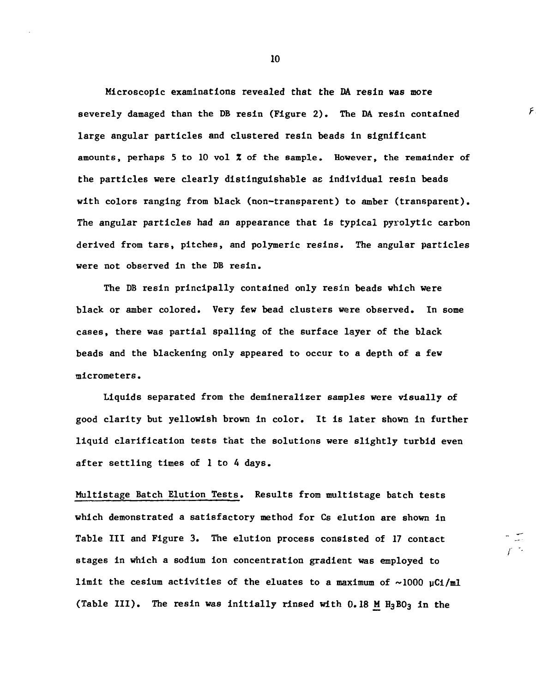Microscopic examinations revealed that the DA resin was more severely damaged than the DB resin (Figure 2). The DA resin contained large angular particles and clustered resin beads in significant amounts, perhaps 5 to 10 vol X of the sample. However, the remainder of the particles were clearly distinguishable ae individual resin beads with colors ranging from black (non-transparent) to amber (transparent). The angular particles had an appearance that is typical pyrolytic carbon derived from tars, pitches, and polymeric resins. The angular particles were not observed in the DB resin.

The DB resin principally contained only resin beads which were black or amber colored. Very few bead clusters were observed. In some cases, there was partial spalling of the surface layer of the black beads and the blackening only appeared to occur to a depth of a few micrometers.

Liquids separated from the demineralizer samples were visually of good clarity but yellowish brown in color. It is later shown in further liquid clarification tests that the solutions were slightly turbid even after settling times of 1 to 4 days.

Multistage Batch Elution Tests. Results from multistage batch tests which demonstrated a satisfactory method for Cs elution are shown in Table III and Figure 3. The elution process consisted of 17 contact stages in which a 6odium ion concentration gradient was employed to limit the cesium activities of the eluates to a maximum of  $\sim$ 1000 pCi/ml (Table III). The resin was initially rinsed with  $0.18$  M H<sub>3</sub>BO<sub>3</sub> in the

10

F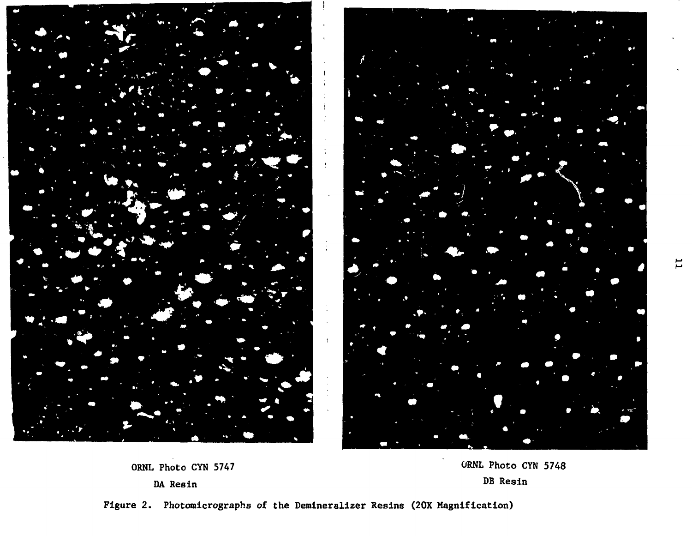



**ORNL Photo CYN 5747 OA Resin**

**Figure 2. Photomicrographs of the Demineralizer Resins (20X Magnification)**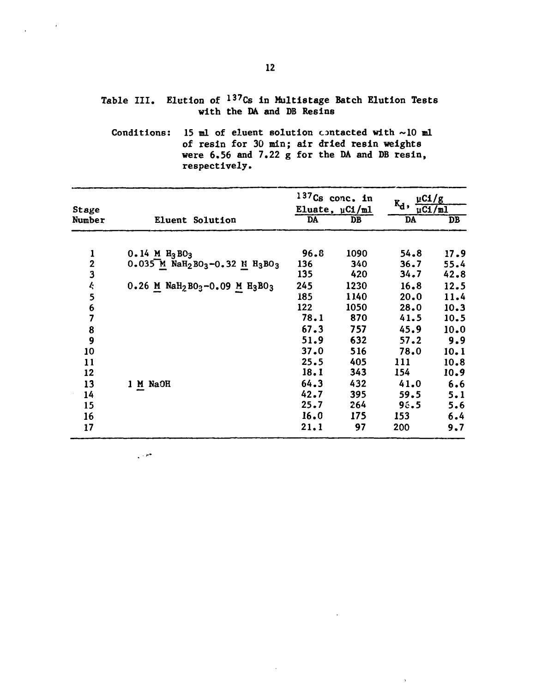## Table III. Elution of <sup>137</sup>Cs in Multistage Batch Elution Tests **with the DA and DB Resins**

**Conditions: 15 ml of eluent solution contacted with ~10 ml of resin for 30 min; air dried resin weights were 6.56 and 7.22 g for the DA and DB resin, respectively.**

|                         |                                                                                   |                 | $137Cs$ conc. in    | $\mu$ Ci/g<br>Kd, |                        |  |  |
|-------------------------|-----------------------------------------------------------------------------------|-----------------|---------------------|-------------------|------------------------|--|--|
| Stage                   |                                                                                   |                 | Eluate, $\mu$ Ci/ml |                   | uC1/m1                 |  |  |
| Number                  | Eluent Solution                                                                   | $\overline{DA}$ | DB                  | $\overline{DA}$   | $\overline{\text{DB}}$ |  |  |
| 1                       | $0.14$ M $H_3BO_3$                                                                | 96.8            | 1090                | 54.8              | 17.9                   |  |  |
| $\overline{\mathbf{2}}$ | $0.035$ M NaH <sub>2</sub> BO <sub>3</sub> -0.32 M H <sub>3</sub> BO <sub>3</sub> | 136             | 340                 | 36.7              | 55.4                   |  |  |
| 3                       |                                                                                   | 135             | 420                 | 34.7              | 42.8                   |  |  |
| Ŀ                       | $0.26$ M $\text{NaH}_2\text{BO}_3-0.09$ M $\text{H}_3\text{BO}_3$                 | 245             | 1230                | 16.8              | 12.5                   |  |  |
| 5                       |                                                                                   | 185             | 1140                | 20.0              | 11.4                   |  |  |
|                         |                                                                                   | 122             | 1050                | 28.0              | 10.3                   |  |  |
| $\frac{6}{7}$           |                                                                                   | 78.1            | 870                 | 41.5              | 10.5                   |  |  |
| 8                       |                                                                                   | 67.3            | 757                 | 45.9              | 10.0                   |  |  |
| 9                       |                                                                                   | 51.9            | 632                 | 57.2              | 9.9                    |  |  |
| 10                      |                                                                                   | 37.0            | 516                 | 78.0              | 10.1                   |  |  |
| 11                      |                                                                                   | 25.5            | 405                 | 111               | 10.8                   |  |  |
| 12                      |                                                                                   | 18.1            | 343                 | 154               | 10.9                   |  |  |
| 13                      | 1 M NaOH                                                                          | 64.3            | 432                 | 41.0              | 6.6                    |  |  |
| 14                      |                                                                                   | 42.7            | 395                 | 59.5              | 5.1                    |  |  |
| 15                      |                                                                                   | 25.7            | 264                 | 90.5              | 5.6                    |  |  |
| 16                      |                                                                                   | 16.0            | 175                 | 153               | 6.4                    |  |  |
| 17                      |                                                                                   | 21.1            | 97                  | 200               | 9.7                    |  |  |

 $\mathbf{r}$ 

موري

 $\sim$   $\sim$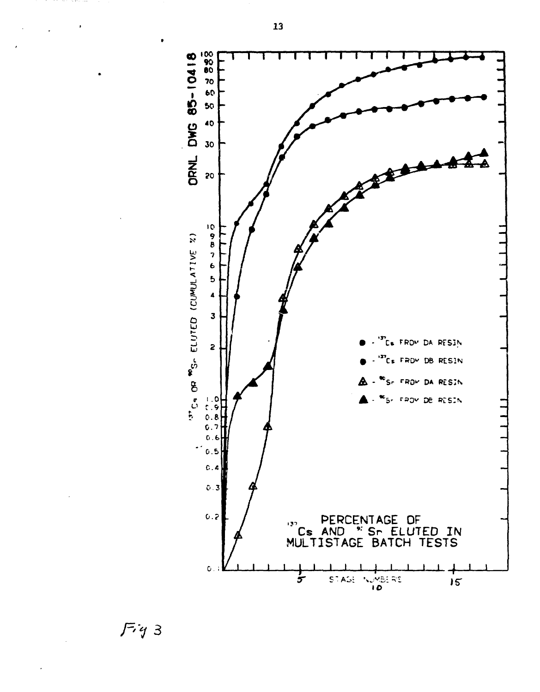

*\*'1* **3**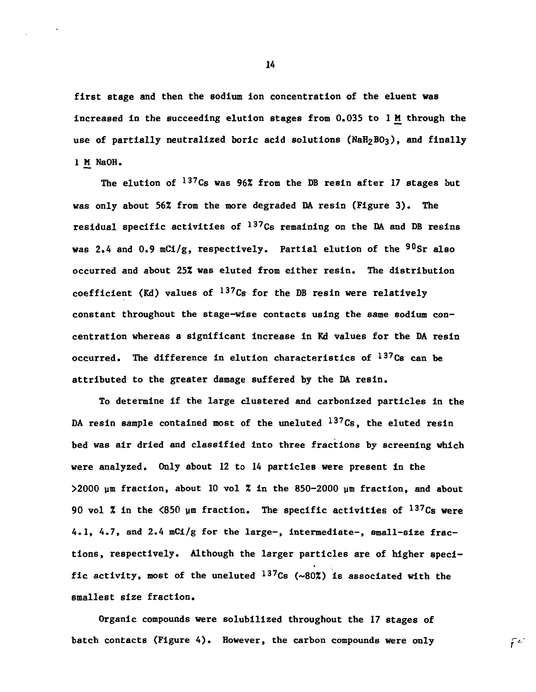**first stage and then the sodium ion concentration of the eluent was increased in the succeeding elution stages from 0.035 to l H through the** use of partially neutralized boric acid solutions (NaH<sub>2</sub>BO<sub>3</sub>), and finally **1 £ NaOH.**

**The elution of <sup>137</sup>Cs was 96% from the DB resin after 17 stages but was only about 56% from the more degraded DA resin (Figure 3). The residual specific activities of <sup>137</sup>Cs remaining on the DA and DB resins was 2.4 and 0.9 mCi/g, respectively. Partial elution of the <sup>90</sup>Sr also occurred and about 25Z was eluted from either resin. The distribution coefficient (Kd) values of <sup>137</sup>Cs for the DB resin were relatively constant throughout the stage-wise contacts using the same sodium concentration whereas a significant increase in Kd values for the DA resin occurred. The difference in elution characteristics of <sup>137</sup>Cs can be attributed to the greater damage suffered by the DA resin.**

**To determine if the large clustered and carbonized particles in the DA resin sample contained most of the uneluted <sup>137</sup> Cs, the eluted resin bed was air dried and classified into three fractions by screening which were analyzed. Only about 12 to 14 particles were present in the >2000 ym fraction, about 10 vol % in the 850-2000 um fraction, and about 90 vol 1 in the <850 urn fraction. The specific activities of <sup>137</sup>Cs were 4.1, 4.7, and 2.4 mCi/g for the large-, intermediate-, small-size fractions, respectively. Although the larger particles are of higher specific activity, most of the uneluted <sup>137</sup>Cs (~80Z) is associated with the smallest size fraction.**

**Organic compounds were solubilized throughout the 17 stages of batch contacts (Figure 4). However, the carbon compounds were only**

 $f^{\mathcal{L}'}$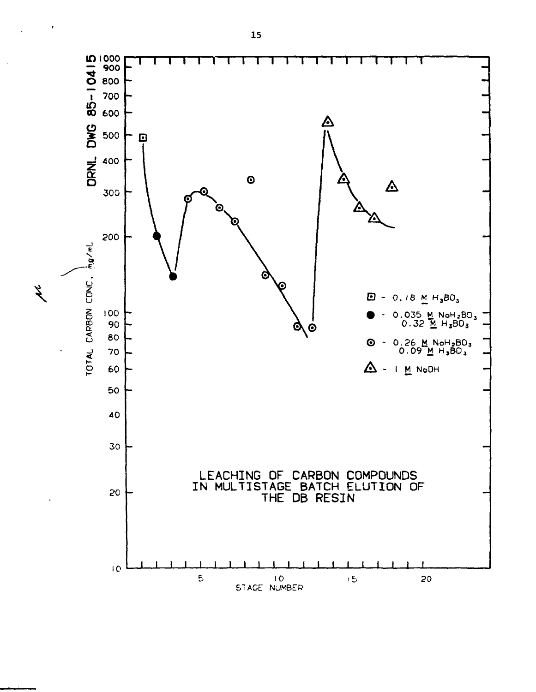

 $\pmb{\cdot}$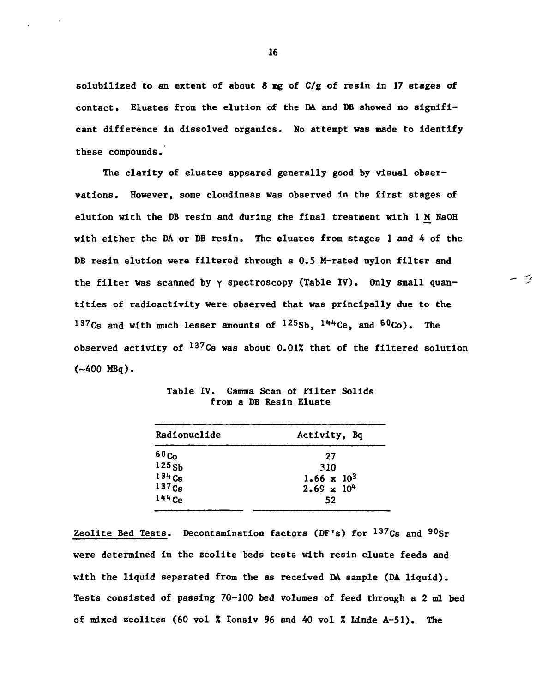**solubilized to an extent of about 8 tig of C/g of resin in 17 Stages of contact. Eluates from the elution of the DA and DB showed no significant difference in dissolved organics. No attempt was made to identify these compounds.**

**The clarity of eluates appeared generally good by visual observations. However, some cloudiness was observed in the first stages of** elution with the DB resin and during the final treatment with 1 M NaOH **with either the DA or DB resin. The eluates from stages 1 and 4 of the DB resin elution were filtered through a 0.5 M-rated nylon filter and the filter was scanned by y spectroscopy (Table IV). Only small quantities of radioactivity were observed that was principally due to the <sup>137</sup> Cs and with much lesser amounts of <sup>125</sup> Sb, ^'•Ce, and <sup>60</sup> Co) . The observed activity of <sup>137</sup> Cs was about 0.01% that of the filtered solution (~400 MBq).**

یہ ہے

| Radionuclide      | Activity, Bq         |
|-------------------|----------------------|
| 60C <sub>O</sub>  | 27                   |
| $125S_b$          | 310                  |
| 134Cs             | $1.66 \times 10^3$   |
| 137C <sub>5</sub> | $2.69 \times 10^{4}$ |
| $144C_{e}$        | 52                   |

**Table IV. Gamma Scan of Filter Solids from a DB Resin Eluate**

**Zeolite Bed Tests. Decontamination factors (DF's) for <sup>137</sup> Cs and <sup>90</sup>Sr were determined in the zeolite beds tests with resin eluate feeds and with the liquid separated from the as received DA sample (DA liquid). Tests consisted of passing 70-100 bed volumes of feed through a 2 ml bed of mixed zeolites (60 vol Z lonsiv 96 and 40 vol 1 Linde A-51). The**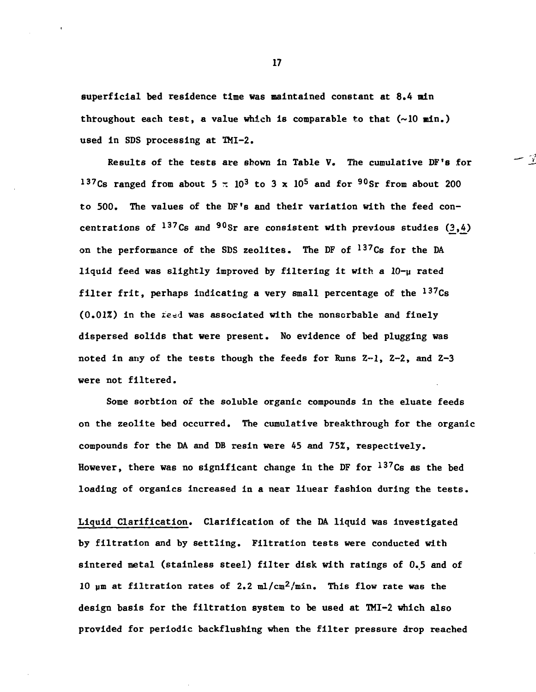**superficial bed residence time was maintained constant at 8.4 nin throughout each test, a value which is comparable to that (~10 nln.) used in SDS processing at TMI-2.**

**Results of the tests are shown in Table V. The cumulative DF's for <sup>137</sup>Cs ranged from about 5 n 10<sup>3</sup> to 3 x 10<sup>5</sup> and for <sup>90</sup>Sr from about 200 to 500. The values of the DF's and their variation with the feed concentrations of <sup>137</sup>Cs and <sup>90</sup>Sr are consistent with previous studies (3,4\_) on the performance of the SDS zeolites. The DF of <sup>137</sup>Cs for the DA liquid feed was slightly improved by filtering it with a 10-\i rated filter frit, perhaps indicating a very small percentage of the <sup>137</sup>Cs (0.01Z) in the feed was associated with the nonsorbable and finely dispersed solids that were present. No evidence of bed plugging was noted in any of the tests though the feeds for Suns Z-l, Z-2, and Z-3 were not filtered.**

**Some sorbtion of the soluble organic compounds in the eluate feeds on the zeolite bed occurred. The cumulative breakthrough for the organic compounds for the DA and DB resin were 45 and 75%, respectively. However, there was no significant change in the DF for <sup>137</sup>Cs as the bed loading of organics increased in a near liuear fashion during the tests.**

**Liquid Clarification. Clarification of the DA liquid was investigated by filtration and by settling. Filtration tests were conducted with sintered metal (stainless steel) filter disk with ratings of 0.5 and of 10 pm at filtration rates of 2.2 ml/cm<sup>2</sup>/min. This flow rate was the design basis for the filtration system to be used at TMI-2 which also provided for periodic backflushing when the filter pressure drop reached**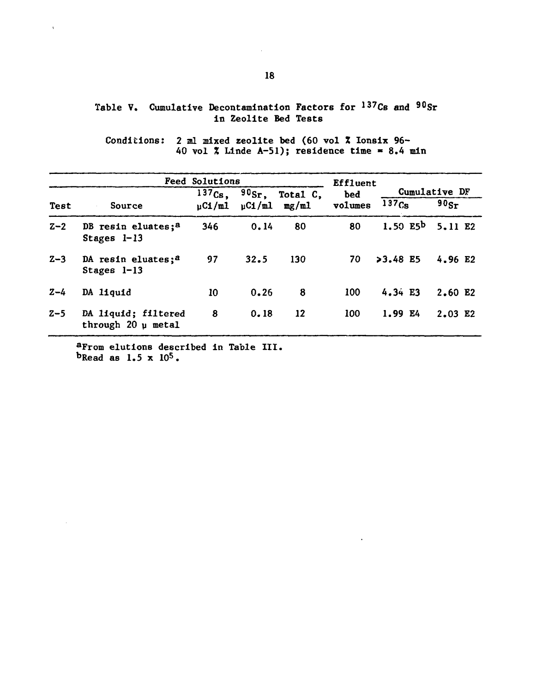## **Table V. Cumulative Decontamination Factors for <sup>137</sup> Cs and <sup>90</sup>Sr in Zeolite Bed Tests**

**Conditions: 2 ml mixed zeolite bed (60 vol X Ionsix 96- 40 vol X Linde A-51); residence time \* 8.4 min**

|         | Feed Solutions                                  | <b>Effluent</b>                                                          |      |                   |                |            |                                    |                       |  |
|---------|-------------------------------------------------|--------------------------------------------------------------------------|------|-------------------|----------------|------------|------------------------------------|-----------------------|--|
| Test    | Source                                          | $\overline{90}_{\text{Sr}},$<br>$137C_S$ ,<br>$\mu$ Ci/ml<br>$\mu$ Ci/ml |      | Total C.<br>mg/ml | bed<br>volumes |            | Cumulative DF<br>137 <sub>Cs</sub> |                       |  |
| $Z-2$   | DB resin eluates; <sup>a</sup><br>Stages 1-13   | 346                                                                      | 0.14 | 80                | 80             |            |                                    | 1.50 $E5^b$ 5.11 $E2$ |  |
| $Z - 3$ | DA resin eluates; <sup>a</sup><br>Stages $l-13$ | 97                                                                       | 32.5 | 130               | 70             | $>3.48$ E5 |                                    | 4.96 E2               |  |
| $Z - 4$ | DA liquid                                       | 10                                                                       | 0.26 | 8                 | 100            | 4.34 E3    |                                    | 2.60 E2               |  |
| $Z - 5$ | DA liquid; filtered<br>through 20 u metal       | 8                                                                        | 0.18 | 12                | 100            | 1.99E4     |                                    | 2.03 E2               |  |

**<sup>a</sup>From elutions described in Table III. <sup>b</sup>Read as 1.5 x 10<sup>5</sup>.**

 $\mathbf{r}$ 

J.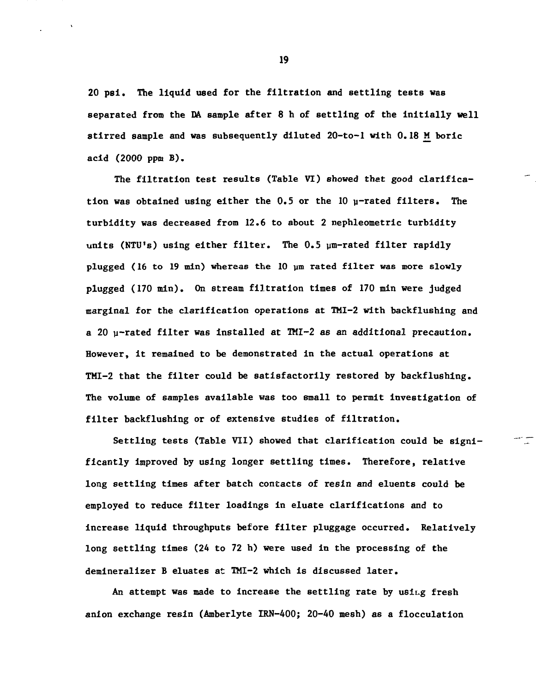**20 psl. The liquid used for the filtration and settling tests was separated from the DA sample after 8 h of settling of the initially well stirred sample and was subsequently diluted 20-to-l with 0.18 K\_ boric acid (2000 ppm B).**

**The filtration test results (Table VI) showed that good clarification was obtained using either the 0.5 or the 10 y-rated filters. The turbidity was decreased from 12.6 to about 2 nephleometric turbidity units (NTU's) using either filter. The 0.5 ym-rated filter rapidly plugged (16 to 19 mln) whereas the 10 ym rated filter was more slowly plugged (170 min). On stream filtration times of 170 min were judged marginal for the clarification operations at TMI-2 with backflushing and a 20 y-rated filter was installed at TMI-2 as an additional precaution. However, it remained to be demonstrated in the actual operations at TMI-2 that the filter could be satisfactorily restored by backflushing. The volume of samples available was too small to permit Investigation of filter backflushing or of extensive studies of filtration.**

**Settling tests (Table VII) showed that clarification could be significantly improved by using longer settling times. Therefore, relative long settling times after batch contacts of resin and eluents could be employed to reduce filter loadings in eluate clarifications and to increase liquid throughputs before filter pluggage occurred. Relatively long settling times (24 to 72 h) were used in the processing of the demineralizer B eluates at TMI-2 which is discussed later.**

**An attempt was made to increase the settling rate by usiug fresh anion exchange resin (Amberlyte IRN-400; 20-40 mesh) as a flocculation**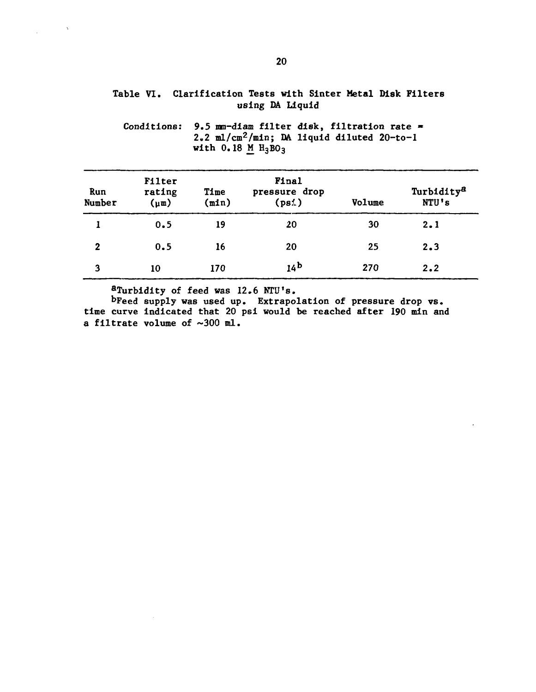# **Table VI. Clarification Tests with Sinter Metal Disk Filters using DA Liquid**

| Run<br>Number | Filter<br>rating<br>$(\mu m)$ | Time<br>(min) | Final<br>pressure drop<br>$(ps_1')$ | Volume | Turbidity <sup>8</sup><br>NTU's |
|---------------|-------------------------------|---------------|-------------------------------------|--------|---------------------------------|
|               | 0.5                           | 19            | 20                                  | 30     | 2.1                             |
| $\mathbf 2$   | 0.5                           | 16            | 20                                  | 25     | 2.3                             |
| 3             | 10                            | 170           | 14 <sup>b</sup>                     | 270    | 2.2                             |

**Conditions: 9.5 nm-diam filter disk, filtration rate « 2.2 ml/an<sup>2</sup>/min; M liquid diluted 20-to-l with 0.18 H H3BO3**

**<sup>a</sup>Turbidity of feed was 12.6 MTU's.**

 $\mathcal{L}^{\text{max}}$  and  $\mathcal{N}$ 

**^Feed supply was used up. Extrapolation of pressure drop vs. time curve indicated that 20 psi would be reached after 190 min and a filtrate volume of ~300 ml.**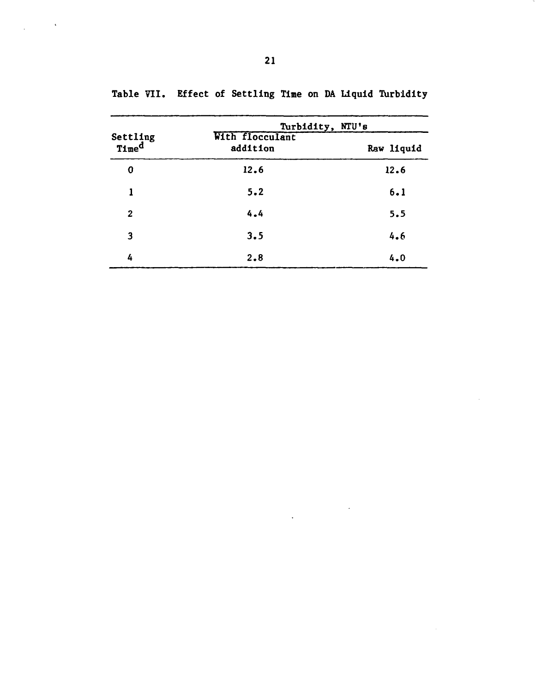|                   | Turbidity, NTU's            |            |  |  |  |  |  |
|-------------------|-----------------------------|------------|--|--|--|--|--|
| Settling<br>Timed | With flocculant<br>addition | Raw liquid |  |  |  |  |  |
| 0                 | 12.6                        | 12.6       |  |  |  |  |  |
| 1                 | 5.2                         | 6.1        |  |  |  |  |  |
| $\overline{2}$    | 4.4                         | 5.5        |  |  |  |  |  |
| 3                 | 3.5                         | 4.6        |  |  |  |  |  |
| 4                 | 2.8                         | 4.0        |  |  |  |  |  |

 $\mathcal{L}^{\text{max}}_{\text{max}}$ 

 $\sim$ 

**Table VII. Effect of Settling Time on DA Liquid Turbidity**

 $\chi_{\rm{max}}=0.5$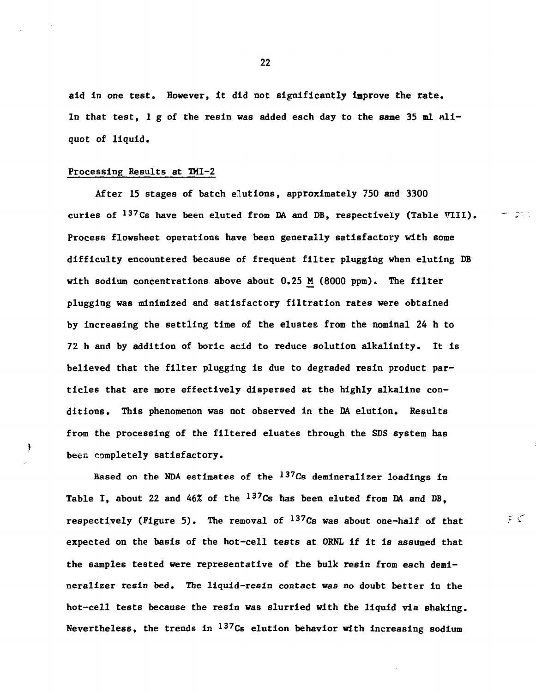**aid in one test. However, it did not significantly improve the rate. In that test, 1 g of the resin was added each day to the same 35 ml aliquot of liquid.**

#### **Processing Results at TMI-2**

**After 15 stages of batch elutions, approximately 750 and 3300 curies of <sup>137</sup>Cs have been eluted from M and DB, respectively (Table VIII),** للسوالد **Process flowsheet operations have been generally satisfactory with some difficulty encountered because of frequent filter plugging when eluting DB with sodium concentrations above about 0.25 K (8000 ppm). The filter plugging was minimized and satisfactory filtration rates were obtained by increasing the settling time of the eluates from the nominal 24 h to 72 h and by addition of boric acid to reduce solution alkalinity. It is believed that the filter plugging is due to degraded resin product particles that are more effectively dispersed at the highly alkaline conditions. This phenomenon was not observed in the DA elution. Results from the processing of the filtered eluates through the SDS system has been completely satisfactory.**

**Based on the NDA estimates of the 137QB demineralizer loadings in Table I, about 22 and 46% of the <sup>137</sup>Cs has been eluted from M and DB, respectively (Figure 5). The removal of <sup>137</sup>Cs was about one-half of that expected on the basis of the hot-cell tests at ORNL If it is assumed that the samples tested were representative of the bulk resin from each demineralizer resin bed. The liquid-resin contact was no doubt better in the hot-cell tests because the resin was slurried with the liquid via shaking. Nevertheless, the trends in <sup>137</sup>Cs elution behavior with increasing sodium**

سم ہو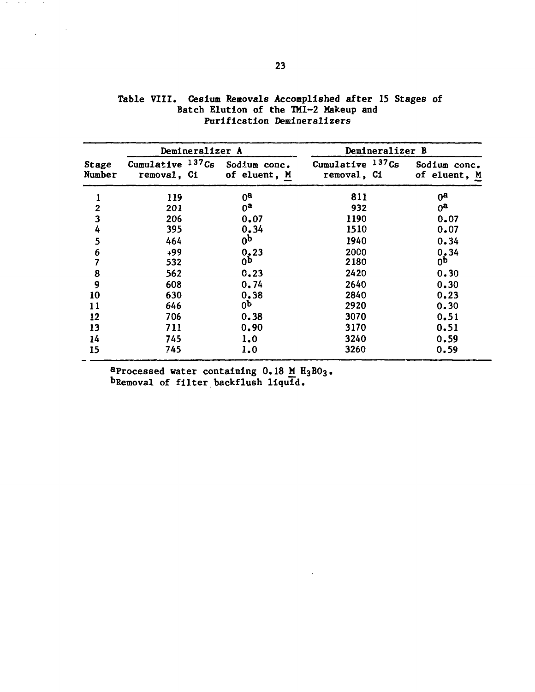|                 | Demineralizer A                   |                              | Demineralizer B                 |                              |
|-----------------|-----------------------------------|------------------------------|---------------------------------|------------------------------|
| Stage<br>Number | Cumulative $137Cs$<br>removal, Ci | Sodium conc.<br>of eluent, M | Cumulative 137Cs<br>removal, Ci | Sodium conc.<br>of eluent, M |
| 1               | 119                               | $0^{\mathbf{a}}$             | 811                             | $0^{\mathbf{a}}$             |
| $\mathbf 2$     | 201                               | $0^{\mathbf{a}}$             | 932                             | Ωg                           |
| 3               | 206                               | 0.07                         | 1190                            | 0.07                         |
| 4               | 395                               | 0.34                         | 1510                            | 0.07                         |
| 5               | 464                               | 0 <sub>p</sub>               | 1940                            | 0.34                         |
| 6               | 499                               | 0.23                         | 2000                            | 0.34                         |
| 7               | 532                               | 0p                           | 2180                            | 0p                           |
| 8               | 562                               | 0.23                         | 2420                            | 0.30                         |
| 9               | 608                               | 0.74                         | 2640                            | 0.30                         |
| 10              | 630                               | 0.38                         | 2840                            | 0.23                         |
| 11              | 646                               | 0p                           | 2920                            | 0.30                         |
| 12              | 706                               | 0.38                         | 3070                            | 0.51                         |
| 13              | 711                               | 0.90                         | 3170                            | 0.51                         |
| 14              | 745                               | 1.0                          | 3240                            | 0.59                         |
| 15              | 745                               | 1.0                          | 3260                            | 0.59                         |

 $\ddot{\phantom{a}}$ 

|  |  |  |                                       |  | Table VIII. Cesium Removals Accomplished after 15 Stages of |  |
|--|--|--|---------------------------------------|--|-------------------------------------------------------------|--|
|  |  |  | Batch Elution of the TMI-2 Makeup and |  |                                                             |  |
|  |  |  | Purification Demineralizers           |  |                                                             |  |

**<sup>a</sup>Processed water containing 0.18 \*1 H3BO3. ^Removal of filter backflush liquid.**

 $\mathcal{L}^{\text{max}}$  and  $\mathcal{L}^{\text{max}}$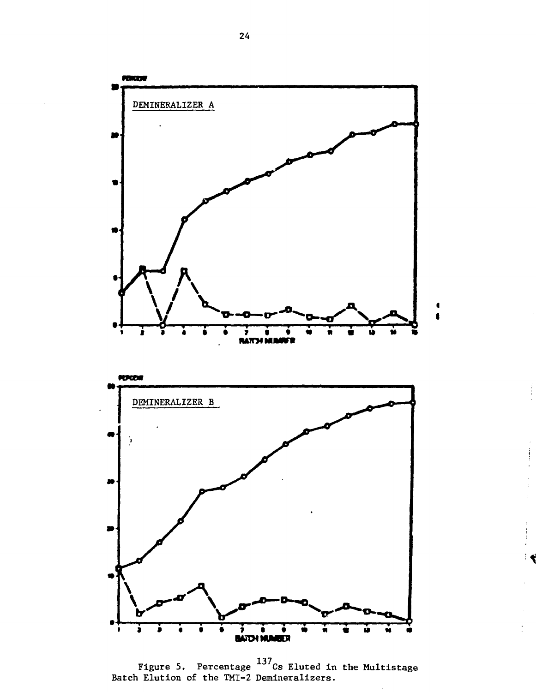

Figure 5. Percentage  $^{137}$ Cs Eluted in the Multistage Batch Elution of the TMI-2 Demineralizers.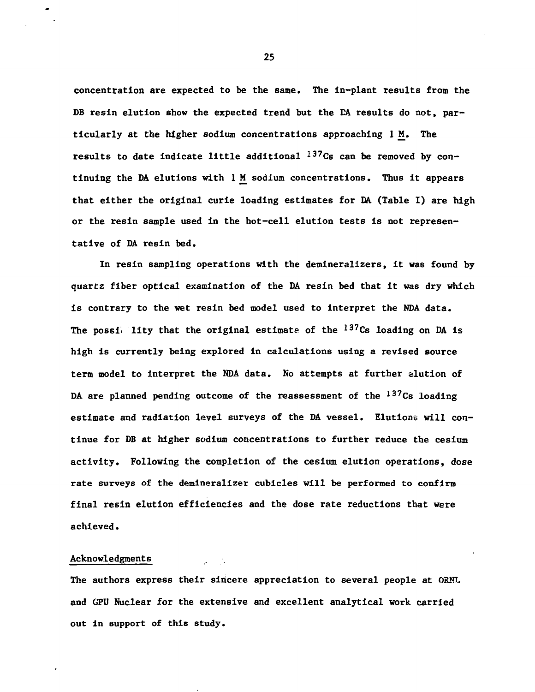**concentration are expected to be the same. The In-plant results from the DB resin elutlon show the expected trend but the EA results do not, particularly at the higher sodium concentrations approaching 1 M. The results to date Indicate little additional i37Cs can be removed by continuing the DA elutions with 1 M sodium concentrations. Thus It appears that either the original curie loading estimates for DA. (Table I) are high or the resin sample used in the hot-cell elution tests is not representative of DA resin bed.**

**In resin sampling operations with the demineralizers, it was found by quartz fiber optical examination of the DA resin bed that it was dry which is contrary to the wet resin bed model used to interpret the NDA data. The possi lity that the original estimate of the <sup>137</sup>Cs loading on DA is high is currently being explored in calculations using a revised source term model to interpret the NDA data. No attempts at further alution of DA are planned pending outcome of the reassessment of the <sup>137</sup>Cs loading estimate and radiation level surveys of the DA vessel. Elutions will continue for DB at higher sodium concentrations to further reduce the cesium activity. Following the completion of the cesium elution operations, dose rate surveys of the demineralizer cubicles will be performed to confirm final resin elution efficiencies and the dose rate reductions that were achieved.**

### **Acknowledgment s**

**The authors express their sincere appreciation to several people at ORNL and GPU Nuclear for the extensive and excellent analytical work carried out in support of this study.**